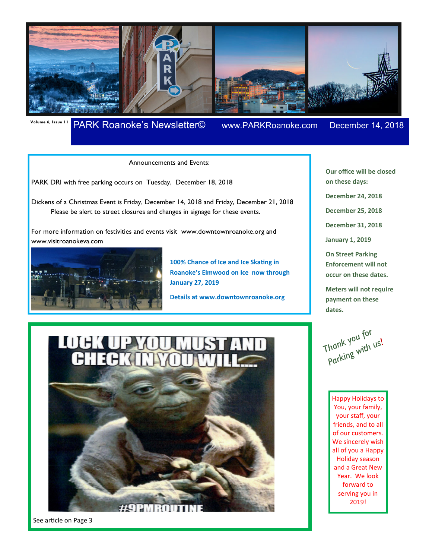

# **Volume 6, Issue 11** PARK Roanoke's Newsletter© www.PARKRoanoke.com December 14, 2018

**Our office will be closed** 

**on these days:** 

**December 24, 2018** 

**December 25, 2018** 

**December 31, 2018** 

**January 1, 2019** 

**On Street Parking Enforcement will not occur on these dates.** 

**Meters will not require payment on these** 

Announcements and Events:

PARK DRI with free parking occurs on Tuesday, December 18, 2018

Dickens of a Christmas Event is Friday, December 14, 2018 and Friday, December 21, 2018 Please be alert to street closures and changes in signage for these events.

For more information on festivities and events visit www.downtownroanoke.org and www.visitroanokeva.com



**100% Chance of Ice and Ice Skating in Roanoke's Elmwood on Ice now through January 27, 2019** 

**Details at www.downtownroanoke.org** 

**IIIF** 

See article on Page 3

Thank you for<br>Parking with us!

**dates.**

Happy Holidays to You, your family, your staff, your friends, and to all of our customers. We sincerely wish all of you a Happy Holiday season and a Great New Year. We look forward to serving you in 2019!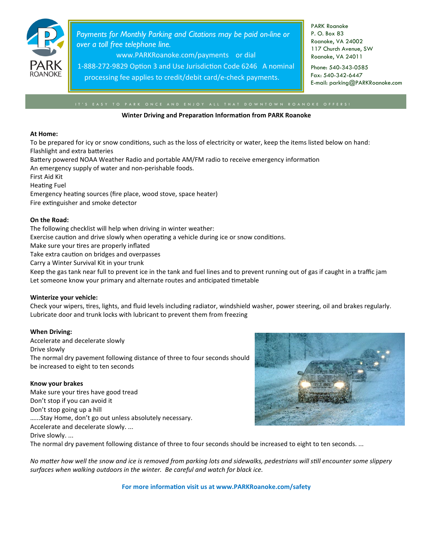

*Payments for Monthly Parking and Citations may be paid on-line or over a toll free telephone line.* 

www.PARKRoanoke.com/payments or dial

1-888-272-9829 Option 3 and Use Jurisdiction Code 6246 A nominal processing fee applies to credit/debit card/e-check payments.

PARK Roanoke P. O. Box 83 Roanoke, VA 24002 117 Church Avenue, SW Roanoke, VA 24011

Phone: 540-343-0585 Fax: 540-342-6447 E-mail: parking@PARKRoanoke.com

#### **Winter Driving and Preparation Information from PARK Roanoke**

#### **At Home:**

To be prepared for icy or snow conditions, such as the loss of electricity or water, keep the items listed below on hand: Flashlight and extra batteries

Battery powered NOAA Weather Radio and portable AM/FM radio to receive emergency information

An emergency supply of water and non-perishable foods.

First Aid Kit

Heating Fuel

Emergency heating sources (fire place, wood stove, space heater)

Fire extinguisher and smoke detector

### **On the Road:**

The following checklist will help when driving in winter weather: Exercise caution and drive slowly when operating a vehicle during ice or snow conditions. Make sure your tires are properly inflated Take extra caution on bridges and overpasses Carry a Winter Survival Kit in your trunk Keep the gas tank near full to prevent ice in the tank and fuel lines and to prevent running out of gas if caught in a traffic jam Let someone know your primary and alternate routes and anticipated timetable

### **Winterize your vehicle:**

Check your wipers, tires, lights, and fluid levels including radiator, windshield washer, power steering, oil and brakes regularly. Lubricate door and trunk locks with lubricant to prevent them from freezing

### **When Driving:**

Accelerate and decelerate slowly Drive slowly The normal dry pavement following distance of three to four seconds should be increased to eight to ten seconds

### **Know your brakes**

Make sure your tires have good tread Don't stop if you can avoid it Don't stop going up a hill …...Stay Home, don't go out unless absolutely necessary. Accelerate and decelerate slowly. ... Drive slowly. ...



The normal dry pavement following distance of three to four seconds should be increased to eight to ten seconds. ...

No matter how well the snow and ice is removed from parking lots and sidewalks, pedestrians will still encounter some slippery *surfaces when walking outdoors in the winter. Be careful and watch for black ice.* 

For more information visit us at www.PARKRoanoke.com/safety